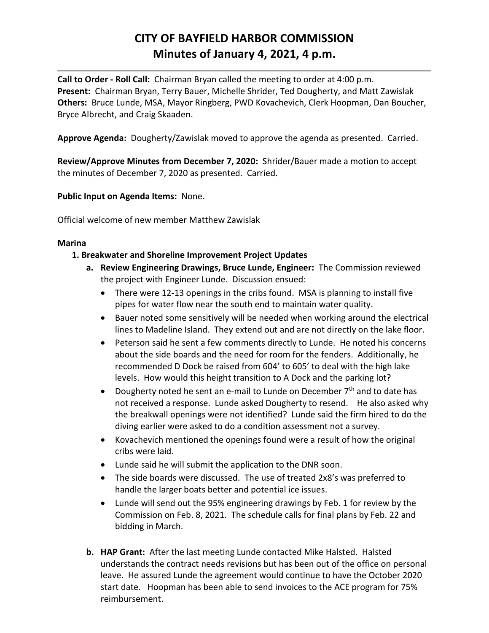# **CITY OF BAYFIELD HARBOR COMMISSION Minutes of January 4, 2021, 4 p.m.**

**Call to Order - Roll Call:** Chairman Bryan called the meeting to order at 4:00 p.m. **Present:** Chairman Bryan, Terry Bauer, Michelle Shrider, Ted Dougherty, and Matt Zawislak **Others:** Bruce Lunde, MSA, Mayor Ringberg, PWD Kovachevich, Clerk Hoopman, Dan Boucher, Bryce Albrecht, and Craig Skaaden.

**Approve Agenda:** Dougherty/Zawislak moved to approve the agenda as presented. Carried.

**Review/Approve Minutes from December 7, 2020:** Shrider/Bauer made a motion to accept the minutes of December 7, 2020 as presented. Carried.

**Public Input on Agenda Items:** None.

Official welcome of new member Matthew Zawislak

### **Marina**

## **1. Breakwater and Shoreline Improvement Project Updates**

- **a. Review Engineering Drawings, Bruce Lunde, Engineer:** The Commission reviewed the project with Engineer Lunde. Discussion ensued:
	- There were 12-13 openings in the cribs found. MSA is planning to install five pipes for water flow near the south end to maintain water quality.
	- Bauer noted some sensitively will be needed when working around the electrical lines to Madeline Island. They extend out and are not directly on the lake floor.
	- Peterson said he sent a few comments directly to Lunde. He noted his concerns about the side boards and the need for room for the fenders. Additionally, he recommended D Dock be raised from 604' to 605' to deal with the high lake levels. How would this height transition to A Dock and the parking lot?
	- Dougherty noted he sent an e-mail to Lunde on December  $7<sup>th</sup>$  and to date has not received a response. Lunde asked Dougherty to resend. He also asked why the breakwall openings were not identified? Lunde said the firm hired to do the diving earlier were asked to do a condition assessment not a survey.
	- Kovachevich mentioned the openings found were a result of how the original cribs were laid.
	- Lunde said he will submit the application to the DNR soon.
	- The side boards were discussed. The use of treated 2x8's was preferred to handle the larger boats better and potential ice issues.
	- Lunde will send out the 95% engineering drawings by Feb. 1 for review by the Commission on Feb. 8, 2021. The schedule calls for final plans by Feb. 22 and bidding in March.
- **b. HAP Grant:** After the last meeting Lunde contacted Mike Halsted. Halsted understands the contract needs revisions but has been out of the office on personal leave. He assured Lunde the agreement would continue to have the October 2020 start date. Hoopman has been able to send invoices to the ACE program for 75% reimbursement.